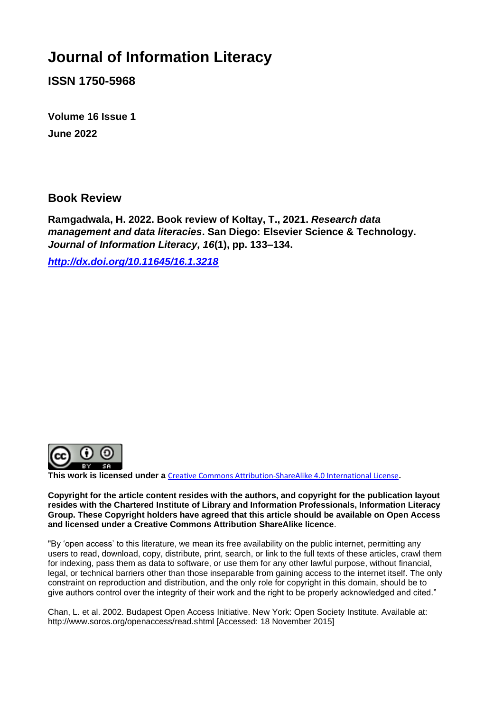## **Journal of Information Literacy**

**ISSN 1750-5968**

**Volume 16 Issue 1 June 2022**

## **Book Review**

**Ramgadwala, H. 2022. Book review of Koltay, T., 2021.** *Research data management and data literacies***. San Diego: Elsevier Science & Technology.**  *Journal of Information Literacy, 16***(1), pp. 133–134.**

*<http://dx.doi.org/10.11645/16.1.3218>*



**This work is licensed under a** [Creative Commons Attribution-ShareAlike 4.0 International License](http://creativecommons.org/licenses/by-sa/4.0/)**.**

**Copyright for the article content resides with the authors, and copyright for the publication layout resides with the Chartered Institute of Library and Information Professionals, Information Literacy Group. These Copyright holders have agreed that this article should be available on Open Access and licensed under a Creative Commons Attribution ShareAlike licence**.

"By 'open access' to this literature, we mean its free availability on the public internet, permitting any users to read, download, copy, distribute, print, search, or link to the full texts of these articles, crawl them for indexing, pass them as data to software, or use them for any other lawful purpose, without financial, legal, or technical barriers other than those inseparable from gaining access to the internet itself. The only constraint on reproduction and distribution, and the only role for copyright in this domain, should be to give authors control over the integrity of their work and the right to be properly acknowledged and cited."

Chan, L. et al. 2002. Budapest Open Access Initiative. New York: Open Society Institute. Available at: http://www.soros.org/openaccess/read.shtml [Accessed: 18 November 2015]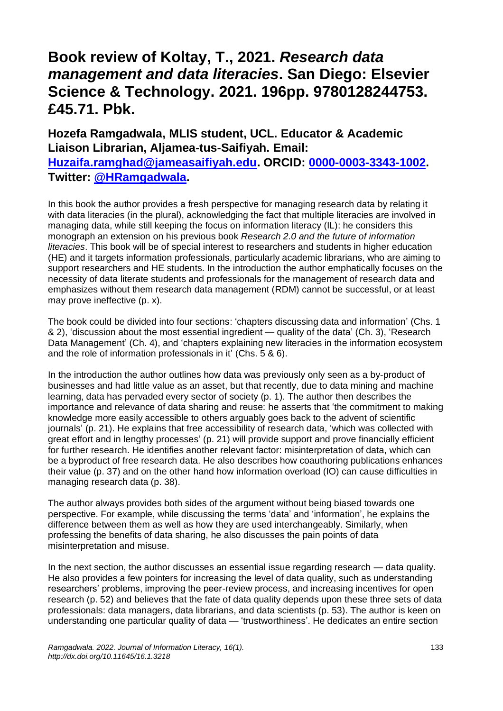## **Book review of Koltay, T., 2021.** *Research data management and data literacies***. San Diego: Elsevier Science & Technology. 2021. 196pp. 9780128244753. £45.71. Pbk.**

**Hozefa Ramgadwala, MLIS student, UCL. Educator & Academic Liaison Librarian, Aljamea-tus-Saifiyah. Email: [Huzaifa.ramghad@jameasaifiyah.edu.](mailto:Huzaifa.ramghad@jameasaifiyah.edu) ORCID: [0000-0003-3343-1002.](https://orcid.org/0000-0003-3343-1002) Twitter: [@HRamgadwala.](https://twitter.com/HRamgadwala)**

In this book the author provides a fresh perspective for managing research data by relating it with data literacies (in the plural), acknowledging the fact that multiple literacies are involved in managing data, while still keeping the focus on information literacy (IL): he considers this monograph an extension on his previous book *Research 2.0 and the future of information literacies*. This book will be of special interest to researchers and students in higher education (HE) and it targets information professionals, particularly academic librarians, who are aiming to support researchers and HE students. In the introduction the author emphatically focuses on the necessity of data literate students and professionals for the management of research data and emphasizes without them research data management (RDM) cannot be successful, or at least may prove ineffective (p. x).

The book could be divided into four sections: 'chapters discussing data and information' (Chs. 1 & 2), 'discussion about the most essential ingredient — quality of the data' (Ch. 3), 'Research Data Management' (Ch. 4), and 'chapters explaining new literacies in the information ecosystem and the role of information professionals in it' (Chs. 5 & 6).

In the introduction the author outlines how data was previously only seen as a by-product of businesses and had little value as an asset, but that recently, due to data mining and machine learning, data has pervaded every sector of society (p. 1). The author then describes the importance and relevance of data sharing and reuse: he asserts that 'the commitment to making knowledge more easily accessible to others arguably goes back to the advent of scientific journals' (p. 21). He explains that free accessibility of research data, 'which was collected with great effort and in lengthy processes' (p. 21) will provide support and prove financially efficient for further research. He identifies another relevant factor: misinterpretation of data, which can be a byproduct of free research data. He also describes how coauthoring publications enhances their value (p. 37) and on the other hand how information overload (IO) can cause difficulties in managing research data (p. 38).

The author always provides both sides of the argument without being biased towards one perspective. For example, while discussing the terms 'data' and 'information', he explains the difference between them as well as how they are used interchangeably. Similarly, when professing the benefits of data sharing, he also discusses the pain points of data misinterpretation and misuse.

In the next section, the author discusses an essential issue regarding research — data quality. He also provides a few pointers for increasing the level of data quality, such as understanding researchers' problems, improving the peer-review process, and increasing incentives for open research (p. 52) and believes that the fate of data quality depends upon these three sets of data professionals: data managers, data librarians, and data scientists (p. 53). The author is keen on understanding one particular quality of data — 'trustworthiness'. He dedicates an entire section